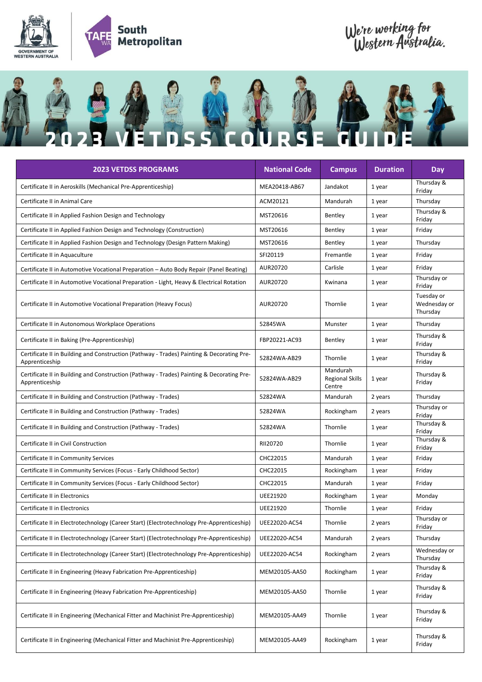

## We're working for<br>Western Australia.



| <b>2023 VETDSS PROGRAMS</b>                                                                                 | <b>National Code</b> | <b>Campus</b>                                | <b>Duration</b> | <b>Day</b>                             |
|-------------------------------------------------------------------------------------------------------------|----------------------|----------------------------------------------|-----------------|----------------------------------------|
| Certificate II in Aeroskills (Mechanical Pre-Apprenticeship)                                                | MEA20418-AB67        | Jandakot                                     | 1 year          | Thursday &<br>Friday                   |
| Certificate II in Animal Care                                                                               | ACM20121             | Mandurah                                     | 1 year          | Thursday                               |
| Certificate II in Applied Fashion Design and Technology                                                     | MST20616             | Bentley                                      | 1 year          | Thursday &<br>Friday                   |
| Certificate II in Applied Fashion Design and Technology (Construction)                                      | MST20616             | Bentley                                      | 1 year          | Friday                                 |
| Certificate II in Applied Fashion Design and Technology (Design Pattern Making)                             | MST20616             | Bentley                                      | 1 year          | Thursday                               |
| Certificate II in Aquaculture                                                                               | SFI20119             | Fremantle                                    | 1 year          | Friday                                 |
| Certificate II in Automotive Vocational Preparation - Auto Body Repair (Panel Beating)                      | AUR20720             | Carlisle                                     | 1 year          | Friday                                 |
| Certificate II in Automotive Vocational Preparation - Light, Heavy & Electrical Rotation                    | AUR20720             | Kwinana                                      | 1 year          | Thursday or<br>Friday                  |
| Certificate II in Automotive Vocational Preparation (Heavy Focus)                                           | AUR20720             | Thornlie                                     | 1 year          | Tuesday or<br>Wednesday or<br>Thursday |
| Certificate II in Autonomous Workplace Operations                                                           | 52845WA              | Munster                                      | 1 year          | Thursday                               |
| Certificate II in Baking (Pre-Apprenticeship)                                                               | FBP20221-AC93        | Bentley                                      | 1 year          | Thursday &<br>Friday                   |
| Certificate II in Building and Construction (Pathway - Trades) Painting & Decorating Pre-<br>Apprenticeship | 52824WA-AB29         | Thornlie                                     | 1 year          | Thursday &<br>Friday                   |
| Certificate II in Building and Construction (Pathway - Trades) Painting & Decorating Pre-<br>Apprenticeship | 52824WA-AB29         | Mandurah<br><b>Regional Skills</b><br>Centre | 1 year          | Thursday &<br>Friday                   |
| Certificate II in Building and Construction (Pathway - Trades)                                              | 52824WA              | Mandurah                                     | 2 years         | Thursday                               |
| Certificate II in Building and Construction (Pathway - Trades)                                              | 52824WA              | Rockingham                                   | 2 years         | Thursday or<br>Friday                  |
| Certificate II in Building and Construction (Pathway - Trades)                                              | 52824WA              | Thornlie                                     | 1 year          | Thursday &<br>Friday                   |
| Certificate II in Civil Construction                                                                        | RII20720             | Thornlie                                     | 1 year          | Thursday &<br>Friday                   |
| Certificate II in Community Services                                                                        | CHC22015             | Mandurah                                     | 1 year          | Friday                                 |
| Certificate II in Community Services (Focus - Early Childhood Sector)                                       | CHC22015             | Rockingham                                   | 1 year          | Friday                                 |
| Certificate II in Community Services (Focus - Early Childhood Sector)                                       | CHC22015             | Mandurah                                     | 1 year          | Friday                                 |
| Certificate II in Electronics                                                                               | UEE21920             | Rockingham                                   | 1 year          | Monday                                 |
| Certificate II in Electronics                                                                               | UEE21920             | Thornlie                                     | 1 year          | Friday                                 |
| Certificate II in Electrotechnology (Career Start) (Electrotechnology Pre-Apprenticeship)                   | UEE22020-AC54        | Thornlie                                     | 2 years         | Thursday or<br>Friday                  |
| Certificate II in Electrotechnology (Career Start) (Electrotechnology Pre-Apprenticeship)                   | UEE22020-AC54        | Mandurah                                     | 2 years         | Thursday                               |
| Certificate II in Electrotechnology (Career Start) (Electrotechnology Pre-Apprenticeship)                   | UEE22020-AC54        | Rockingham                                   | 2 years         | Wednesday or<br>Thursday               |
| Certificate II in Engineering (Heavy Fabrication Pre-Apprenticeship)                                        | MEM20105-AA50        | Rockingham                                   | 1 year          | Thursday &<br>Friday                   |
| Certificate II in Engineering (Heavy Fabrication Pre-Apprenticeship)                                        | MEM20105-AA50        | Thornlie                                     | 1 year          | Thursday &<br>Friday                   |
| Certificate II in Engineering (Mechanical Fitter and Machinist Pre-Apprenticeship)                          | MEM20105-AA49        | Thornlie                                     | 1 year          | Thursday &<br>Friday                   |
| Certificate II in Engineering (Mechanical Fitter and Machinist Pre-Apprenticeship)                          | MEM20105-AA49        | Rockingham                                   | 1 year          | Thursday &<br>Friday                   |